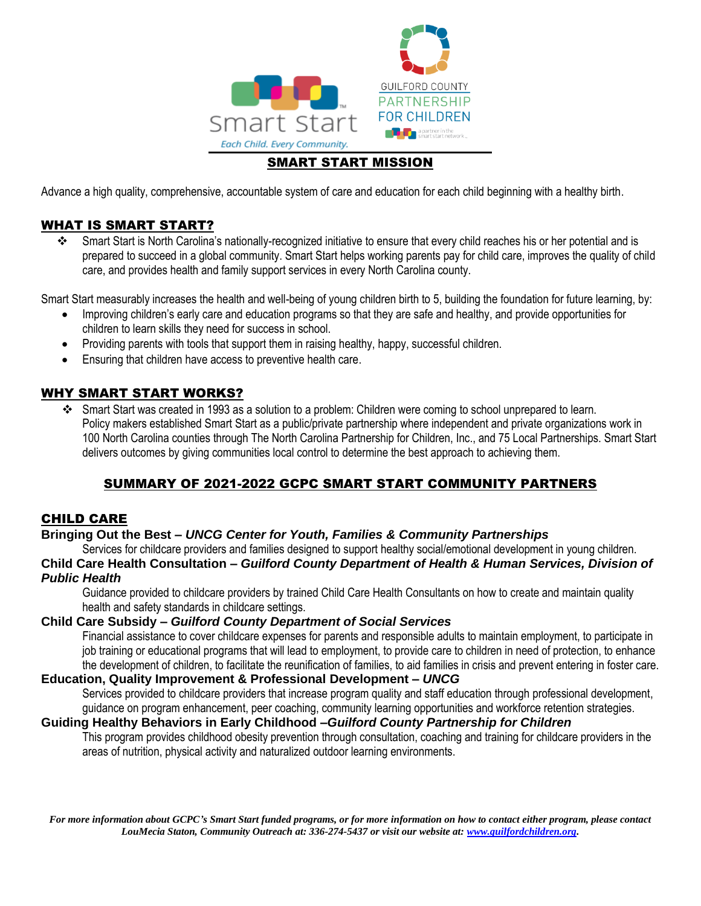

# SMART START MISSION

Advance a high quality, comprehensive, accountable system of care and education for each child beginning with a healthy birth.

# WHAT IS SMART START?

❖ Smart Start is North Carolina's nationally-recognized initiative to ensure that every child reaches his or her potential and is prepared to succeed in a global community. Smart Start helps working parents pay for child care, improves the quality of child care, and provides health and family support services in every North Carolina county.

Smart Start measurably increases the health and well-being of young children birth to 5, building the foundation for future learning, by:

- Improving children's early care and education programs so that they are safe and healthy, and provide opportunities for children to learn skills they need for success in school.
- Providing parents with tools that support them in raising healthy, happy, successful children.
- Ensuring that children have access to preventive health care.

## WHY SMART START WORKS?

❖ Smart Start was created in 1993 as a solution to a problem: Children were coming to school unprepared to learn. Policy makers established Smart Start as a public/private partnership where independent and private organizations work in 100 North Carolina counties through The North Carolina Partnership for Children, Inc., and 75 Local Partnerships. Smart Start delivers outcomes by giving communities local control to determine the best approach to achieving them.

# SUMMARY OF 2021-2022 GCPC SMART START COMMUNITY PARTNERS

# CHILD CARE

### **Bringing Out the Best –** *UNCG Center for Youth, Families & Community Partnerships*

Services for childcare providers and families designed to support healthy social/emotional development in young children.

**Child Care Health Consultation –** *Guilford County Department of Health & Human Services, Division of Public Health*

Guidance provided to childcare providers by trained Child Care Health Consultants on how to create and maintain quality health and safety standards in childcare settings.

## **Child Care Subsidy –** *Guilford County Department of Social Services*

Financial assistance to cover childcare expenses for parents and responsible adults to maintain employment, to participate in job training or educational programs that will lead to employment, to provide care to children in need of protection, to enhance the development of children, to facilitate the reunification of families, to aid families in crisis and prevent entering in foster care.

## **Education, Quality Improvement & Professional Development –** *UNCG*

Services provided to childcare providers that increase program quality and staff education through professional development, guidance on program enhancement, peer coaching, community learning opportunities and workforce retention strategies.

### **Guiding Healthy Behaviors in Early Childhood** *–Guilford County Partnership for Children*

This program provides childhood obesity prevention through consultation, coaching and training for childcare providers in the areas of nutrition, physical activity and naturalized outdoor learning environments.

For more information about GCPC's Smart Start funded programs, or for more information on how to contact either program, please contact *LouMecia Staton, Community Outreach at: 336-274-5437 or visit our website at[: www.guilfordchildren.org.](http://www.guilfordchildren.org/)*